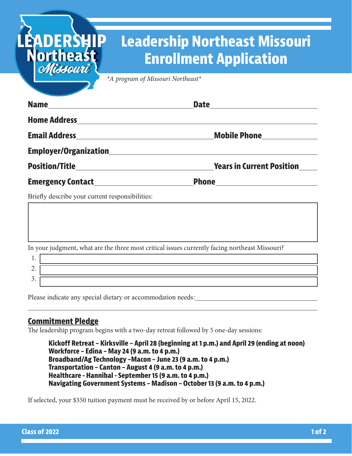# **Leadership Northeast Missouri Enrollment Application**

*\*A program of Missouri Northeast\**

|                                            | Date _______________________     |
|--------------------------------------------|----------------------------------|
|                                            |                                  |
|                                            | Mobile Phone                     |
|                                            |                                  |
|                                            | <b>Years in Current Position</b> |
| <b>Emergency Contact Emergency Contact</b> |                                  |

Briefly describe your current responsibilities:

In your judgment, what are the three most critical issues currently facing northeast Missouri?

| . .      |  |
|----------|--|
| ∼<br>--  |  |
| <u>.</u> |  |

Please indicate any special dietary or accommodation needs:

## **Commitment Pledge**

**EADERSH** 

Northeast

The leadership program begins with a two-day retreat followed by 5 one-day sessions:

 **Kickoff Retreat – Kirksville – April 28 (beginning at 1 p.m.) and April 29 (ending at noon) Workforce – Edina – May 24 (9 a.m. to 4 p.m.) Broadband/Ag Technology –Macon – June 23 (9 a.m. to 4 p.m.) Transportation – Canton – August 4 (9 a.m. to 4 p.m.) Healthcare - Hannibal - September 15 (9 a.m. to 4 p.m.) Navigating Government Systems – Madison – October 13 (9 a.m. to 4 p.m.)**

If selected, your \$350 tuition payment must be received by or before April 15, 2022.

 $\overline{a}$